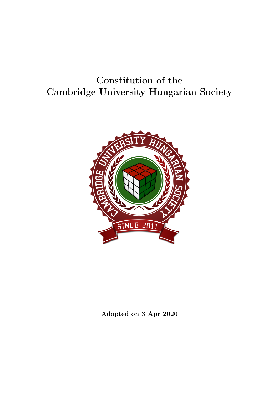# Constitution of the Cambridge University Hungarian Society



Adopted on 3 Apr 2020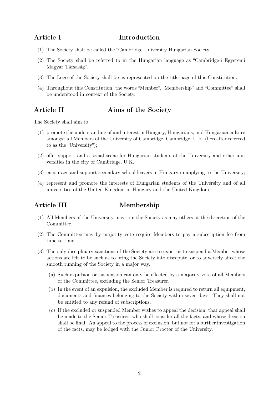## Article I Introduction

- (1) The Society shall be called the "Cambridge University Hungarian Society".
- (2) The Society shall be referred to in the Hungarian language as "Cambridge-i Egyetemi Magyar Társaság".
- (3) The Logo of the Society shall be as represented on the title page of this Constitution.
- (4) Throughout this Constitution, the words "Member", "Membership" and "Committee" shall be understood in context of the Society.

## Article II Aims of the Society

The Society shall aim to

- (1) promote the understanding of and interest in Hungary, Hungarians, and Hungarian culture amongst all Members of the University of Cambridge, Cambridge, U.K. (hereafter referred to as the "University");
- (2) offer support and a social scene for Hungarian students of the University and other universities in the city of Cambridge, U.K.;
- (3) encourage and support secondary school leavers in Hungary in applying to the University;
- (4) represent and promote the interests of Hungarian students of the University and of all universities of the United Kingdom in Hungary and the United Kingdom.

## Article III Membership

- (1) All Members of the University may join the Society as may others at the discretion of the Committee.
- (2) The Committee may by majority vote require Members to pay a subscription fee from time to time.
- (3) The only disciplinary sanctions of the Society are to expel or to suspend a Member whose actions are felt to be such as to bring the Society into disrepute, or to adversely affect the smooth running of the Society in a major way.
	- (a) Such expulsion or suspension can only be effected by a majority vote of all Members of the Committee, excluding the Senior Treasurer.
	- (b) In the event of an expulsion, the excluded Member is required to return all equipment, documents and finances belonging to the Society within seven days. They shall not be entitled to any refund of subscriptions.
	- (c) If the excluded or suspended Member wishes to appeal the decision, that appeal shall be made to the Senior Treasurer, who shall consider all the facts, and whose decision shall be final. An appeal to the process of exclusion, but not for a further investigation of the facts, may be lodged with the Junior Proctor of the University.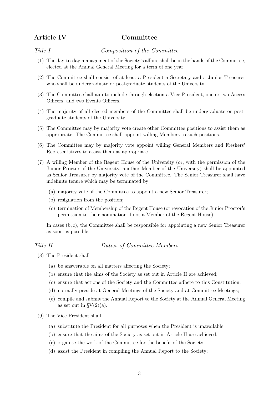## Article IV Committee

Title I Composition of the Committee

- (1) The day-to-day management of the Society's affairs shall be in the hands of the Committee, elected at the Annual General Meeting for a term of one year.
- (2) The Committee shall consist of at least a President a Secretary and a Junior Treasurer who shall be undergraduate or postgraduate students of the University.
- (3) The Committee shall aim to include through election a Vice President, one or two Access Officers, and two Events Officers.
- (4) The majority of all elected members of the Committee shall be undergraduate or postgraduate students of the University.
- (5) The Committee may by majority vote create other Committee positions to assist them as appropriate. The Committee shall appoint willing Members to such positions.
- (6) The Committee may by majority vote appoint willing General Members and Freshers' Representatives to assist them as appropriate.
- (7) A willing Member of the Regent House of the University (or, with the permission of the Junior Proctor of the University, another Member of the University) shall be appointed as Senior Treasurer by majority vote of the Committee. The Senior Treasurer shall have indefinite tenure which may be terminated by
	- (a) majority vote of the Committee to appoint a new Senior Treasurer;
	- (b) resignation from the position;
	- (c) termination of Membership of the Regent House (or revocation of the Junior Proctor's permission to their nomination if not a Member of the Regent House).

In cases (b, c), the Committee shall be responsible for appointing a new Senior Treasurer as soon as possible.

Title II Duties of Committee Members

- (8) The President shall
	- (a) be answerable on all matters affecting the Society;
	- (b) ensure that the aims of the Society as set out in Article II are achieved;
	- (c) ensure that actions of the Society and the Committee adhere to this Constitution;
	- (d) normally preside at General Meetings of the Society and at Committee Meetings;
	- (e) compile and submit the Annual Report to the Society at the Annual General Meeting as set out in  $\gamma(2)(a)$ .
- (9) The Vice President shall
	- (a) substitute the President for all purposes when the President is unavailable;
	- (b) ensure that the aims of the Society as set out in Article II are achieved;
	- (c) organise the work of the Committee for the benefit of the Society;
	- (d) assist the President in compiling the Annual Report to the Society;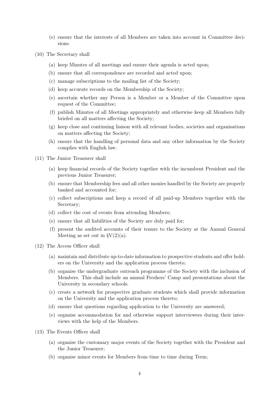- (e) ensure that the interests of all Members are taken into account in Committee decisions.
- (10) The Secretary shall
	- (a) keep Minutes of all meetings and ensure their agenda is acted upon;
	- (b) ensure that all correspondence are recorded and acted upon;
	- (c) manage subscriptions to the mailing list of the Society;
	- (d) keep accurate records on the Membership of the Society;
	- (e) ascertain whether any Person is a Member or a Member of the Committee upon request of the Committee;
	- (f) publish Minutes of all Meetings appropriately and otherwise keep all Members fully briefed on all matters affecting the Society;
	- (g) keep close and continuing liaison with all relevant bodies, societies and organisations on matters affecting the Society;
	- (h) ensure that the handling of personal data and any other information by the Society complies with English law.
- (11) The Junior Treasurer shall
	- (a) keep financial records of the Society together with the incumbent President and the previous Junior Treasurer;
	- (b) ensure that Membership fees and all other monies handled by the Society are properly banked and accounted for;
	- (c) collect subscriptions and keep a record of all paid-up Members together with the Secretary;
	- (d) collect the cost of events from attending Members;
	- (e) ensure that all liabilities of the Society are duly paid for;
	- (f) present the audited accounts of their tenure to the Society at the Annual General Meeting as set out in  $\gamma(2)(a)$ .
- (12) The Access Officer shall
	- (a) maintain and distribute up-to-date information to prospective students and offer holders on the University and the application process thereto;
	- (b) organise the undergraduate outreach programme of the Society with the inclusion of Members. This shall include an annual Freshers' Camp and presentations about the University in secondary schools.
	- (c) create a network for prospective graduate students which shall provide information on the University and the application process thereto;
	- (d) ensure that questions regarding application to the University are answered;
	- (e) organise accommodation for and otherwise support interviewees during their interviews with the help of the Members.
- (13) The Events Officer shall
	- (a) organise the customary major events of the Society together with the President and the Junior Treasurer;
	- (b) organise minor events for Members from time to time during Term;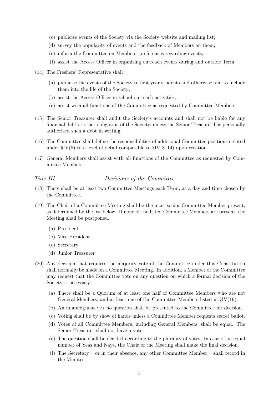- (c) publicise events of the Society via the Society website and mailing list;
- (d) survey the popularity of events and the feedback of Members on them;
- (e) inform the Committee on Members' preferences regarding events;
- (f) assist the Access Officer in organising outreach events during and outside Term.
- (14) The Freshers' Representative shall
	- (a) publicise the events of the Society to first year students and otherwise aim to include them into the life of the Society;
	- (b) assist the Access Officer in school outreach activities;
	- (c) assist with all functions of the Committee as requested by Committee Members.
- (15) The Senior Treasurer shall audit the Society's accounts and shall not be liable for any financial debt or other obligation of the Society, unless the Senior Treasurer has personally authorised such a debt in writing.
- (16) The Committee shall define the responsibilities of additional Committee positions created under  $\S IV(5)$  to a level of detail comparable to  $\S IV(8-14)$  upon creation.
- (17) General Members shall assist with all functions of the Committee as requested by Committee Members.

### Title III Decisions of the Committee

- (18) There shall be at least two Committee Meetings each Term, at a day and time chosen by the Committee.
- (19) The Chair of a Committee Meeting shall be the most senior Committee Member present, as determined by the list below. If none of the listed Committee Members are present, the Meeting shall be postponed.
	- (a) President
	- (b) Vice President
	- (c) Secretary
	- (d) Junior Treasurer
- (20) Any decision that requires the majority vote of the Committee under this Constitution shall normally be made on a Committee Meeting. In addition, a Member of the Committee may request that the Committee vote on any question on which a formal decision of the Society is necessary.
	- (a) There shall be a Quorum of at least one half of Committee Members who are not General Members, and at least one of the Committee Members listed in §IV(19).
	- (b) An unambiguous yes–no question shall be presented to the Committee for decision.
	- (c) Voting shall be by show of hands unless a Committee Member requests secret ballot.
	- (d) Votes of all Committee Members, including General Members, shall be equal. The Senior Treasurer shall not have a vote.
	- (e) The question shall be decided according to the plurality of votes. In case of an equal number of Yeas and Nays, the Chair of the Meeting shall make the final decision.
	- (f) The Secretary or in their absence, any other Committee Member shall record in the Minutes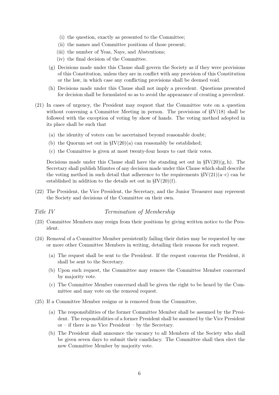- (i) the question, exactly as presented to the Committee;
- (ii) the names and Committee positions of those present;
- (iii) the number of Yeas, Nays, and Abstentions;
- (iv) the final decision of the Committee.
- (g) Decisions made under this Clause shall govern the Society as if they were provisions of this Constitution, unless they are in conflict with any provision of this Constitution or the law, in which case any conflicting provisions shall be deemed void.
- (h) Decisions made under this Clause shall not imply a precedent. Questions presented for decision shall be formulated so as to avoid the appearance of creating a precedent.
- (21) In cases of urgency, the President may request that the Committee vote on a question without convening a Committee Meeting in person. The provisions of §IV(18) shall be followed with the exception of voting by show of hands. The voting method adopted in its place shall be such that
	- (a) the identity of voters can be ascertained beyond reasonable doubt;
	- (b) the Quorum set out in  $\frac{\text{SIV}}{20}$ (a) can reasonably be established;
	- (c) the Committee is given at most twenty-four hours to cast their votes.

Decisions made under this Clause shall have the standing set out in  $\frac{8}{11}$ (20)(g, h). The Secretary shall publish Minutes of any decision made under this Clause which shall describe the voting method in such detail that adherence to the requirements  $\S IV(21)(a-c)$  can be established in addition to the details set out in  $\S I V(20)(f)$ .

(22) The President, the Vice President, the Secretary, and the Junior Treasurer may represent the Society and decisions of the Committee on their own.

### Title IV Termination of Membership

- (23) Committee Members may resign from their positions by giving written notice to the President.
- (24) Removal of a Committee Member persistently failing their duties may be requested by one or more other Committee Members in writing, detailing their reasons for such request.
	- (a) The request shall be sent to the President. If the request concerns the President, it shall be sent to the Secretary.
	- (b) Upon such request, the Committee may remove the Committee Member concerned by majority vote.
	- (c) The Committee Member concerned shall be given the right to be heard by the Committee and may vote on the removal request.
- (25) If a Committee Member resigns or is removed from the Committee,
	- (a) The responsibilities of the former Committee Member shall be assumed by the President. The responsibilities of a former President shall be assumed by the Vice President or – if there is no Vice President – by the Secretary.
	- (b) The President shall announce the vacancy to all Members of the Society who shall be given seven days to submit their candidacy. The Committee shall then elect the new Committee Member by majority vote.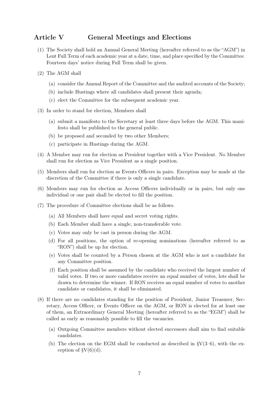## Article V General Meetings and Elections

- (1) The Society shall hold an Annual General Meeting (hereafter referred to as the "AGM") in Lent Full Term of each academic year at a date, time, and place specified by the Committee. Fourteen days' notice during Full Term shall be given.
- (2) The AGM shall
	- (a) consider the Annual Report of the Committee and the audited accounts of the Society;
	- (b) include Hustings where all candidates shall present their agenda;
	- (c) elect the Committee for the subsequent academic year.
- (3) In order to stand for election, Members shall
	- (a) submit a manifesto to the Secretary at least three days before the AGM. This manifesto shall be published to the general public.
	- (b) be proposed and seconded by two other Members;
	- (c) participate in Hustings during the AGM.
- (4) A Member may run for election as President together with a Vice President. No Member shall run for election as Vice President as a single position.
- (5) Members shall run for election as Events Officers in pairs. Exception may be made at the discretion of the Committee if there is only a single candidate.
- (6) Members may run for election as Access Officers individually or in pairs, but only one individual or one pair shall be elected to fill the position.
- (7) The procedure of Committee elections shall be as follows.
	- (a) All Members shall have equal and secret voting rights.
	- (b) Each Member shall have a single, non-transferable vote.
	- (c) Votes may only be cast in person during the AGM.
	- (d) For all positions, the option of re-opening nominations (hereafter referred to as "RON") shall be up for election.
	- (e) Votes shall be counted by a Person chosen at the AGM who is not a candidate for any Committee position.
	- (f) Each position shall be assumed by the candidate who received the largest number of valid votes. If two or more candidates receive an equal number of votes, lots shall be drawn to determine the winner. If RON receives an equal number of votes to another candidate or candidates, it shall be eliminated.
- (8) If there are no candidates standing for the position of President, Junior Treasurer, Secretary, Access Officer, or Events Officer on the AGM, or RON is elected for at least one of them, an Extraordinary General Meeting (hereafter referred to as the "EGM") shall be called as early as reasonably possible to fill the vacancies.
	- (a) Outgoing Committee members without elected successors shall aim to find suitable candidates.
	- (b) The election on the EGM shall be conducted as described in  $\gamma(3-6)$ , with the exception of  $\text{S}V(6)(d)$ .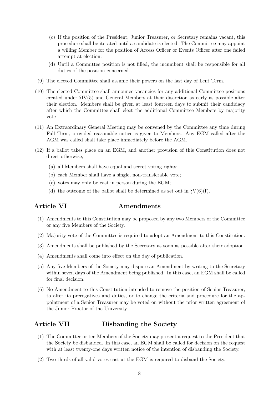- (c) If the position of the President, Junior Treasurer, or Secretary remains vacant, this procedure shall be iterated until a candidate is elected. The Committee may appoint a willing Member for the position of Access Officer or Events Officer after one failed attempt at election.
- (d) Until a Committee position is not filled, the incumbent shall be responsible for all duties of the position concerned.
- (9) The elected Committee shall assume their powers on the last day of Lent Term.
- (10) The elected Committee shall announce vacancies for any additional Committee positions created under §IV(5) and General Members at their discretion as early as possible after their election. Members shall be given at least fourteen days to submit their candidacy after which the Committee shall elect the additional Committee Members by majority vote.
- (11) An Extraordinary General Meeting may be convened by the Committee any time during Full Term, provided reasonable notice is given to Members. Any EGM called after the AGM was called shall take place immediately before the AGM.
- (12) If a ballot takes place on an EGM, and another provision of this Constitution does not direct otherwise,
	- (a) all Members shall have equal and secret voting rights;
	- (b) each Member shall have a single, non-transferable vote;
	- (c) votes may only be cast in person during the EGM;
	- (d) the outcome of the ballot shall be determined as set out in  $\gamma V(6)(f)$ .

## Article VI **Amendments**

- (1) Amendments to this Constitution may be proposed by any two Members of the Committee or any five Members of the Society.
- (2) Majority vote of the Committee is required to adopt an Amendment to this Constitution.
- (3) Amendments shall be published by the Secretary as soon as possible after their adoption.
- (4) Amendments shall come into effect on the day of publication.
- (5) Any five Members of the Society may dispute an Amendment by writing to the Secretary within seven days of the Amendment being published. In this case, an EGM shall be called for final decision.
- (6) No Amendment to this Constitution intended to remove the position of Senior Treasurer, to alter its prerogatives and duties, or to change the criteria and procedure for the appointment of a Senior Treasurer may be voted on without the prior written agreement of the Junior Proctor of the University.

## Article VII Disbanding the Society

- (1) The Committee or ten Members of the Society may present a request to the President that the Society be disbanded. In this case, an EGM shall be called for decision on the request with at least twenty-one days written notice of the intention of disbanding the Society.
- (2) Two thirds of all valid votes cast at the EGM is required to disband the Society.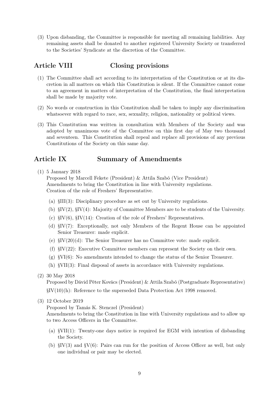(3) Upon disbanding, the Committee is responsible for meeting all remaining liabilities. Any remaining assets shall be donated to another registered University Society or transferred to the Societies' Syndicate at the discretion of the Committee.

## Article VIII Closing provisions

- (1) The Committee shall act according to its interpretation of the Constitution or at its discretion in all matters on which this Constitution is silent. If the Committee cannot come to an agreement in matters of interpretation of the Constitution, the final interpretation shall be made by majority vote.
- (2) No words or construction in this Constitution shall be taken to imply any discrimination whatsoever with regard to race, sex, sexuality, religion, nationality or political views.
- (3) This Constitution was written in consultation with Members of the Society and was adopted by unanimous vote of the Committee on this first day of May two thousand and seventeen. This Constitution shall repeal and replace all provisions of any previous Constitutions of the Society on this same day.

## Article IX Summary of Amendments

(1) 5 January 2018

Proposed by Marcell Fekete (President) & Attila Szabó (Vice President) Amendments to bring the Constitution in line with University regulations. Creation of the role of Freshers' Representative.

- (a) §III(3): Disciplinary procedure as set out by University regulations.
- (b) §IV(2), §IV(4): Majority of Committee Members are to be students of the University.
- (c)  $\S IV(6)$ ,  $\S IV(14)$ : Creation of the role of Freshers' Representatives.
- (d) §IV(7): Exceptionally, not only Members of the Regent House can be appointed Senior Treasurer: made explicit.
- (e) §IV(20)(d): The Senior Treasurer has no Committee vote: made explicit.
- (f) §IV(22): Executive Committee members can represent the Society on their own.
- $(g)$  §VI(6): No amendments intended to change the status of the Senior Treasurer.
- (h) §VII(3): Final disposal of assets in accordance with University regulations.
- (2) 30 May 2018

Proposed by Dávid Péter Kovács (President) & Attila Szabó (Postgraduate Representative) §IV(10)(h): Reference to the superseded Data Protection Act 1998 removed.

### (3) 12 October 2019

Proposed by Tamás K. Stenczel (President)

Amendments to bring the Constitution in line with University regulations and to allow up to two Access Officers in the Committee.

- (a) §VII(1): Twenty-one days notice is required for EGM with intention of disbanding the Society.
- (b) §IV(3) and §V(6): Pairs can run for the position of Access Officer as well, but only one individual or pair may be elected.